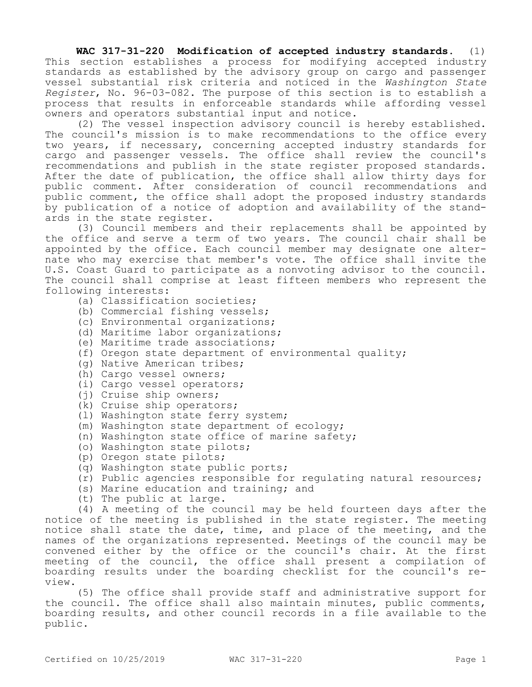**WAC 317-31-220 Modification of accepted industry standards.** (1) This section establishes a process for modifying accepted industry standards as established by the advisory group on cargo and passenger vessel substantial risk criteria and noticed in the *Washington State Register*, No. 96-03-082. The purpose of this section is to establish a process that results in enforceable standards while affording vessel owners and operators substantial input and notice.

(2) The vessel inspection advisory council is hereby established. The council's mission is to make recommendations to the office every two years, if necessary, concerning accepted industry standards for cargo and passenger vessels. The office shall review the council's recommendations and publish in the state register proposed standards. After the date of publication, the office shall allow thirty days for public comment. After consideration of council recommendations and public comment, the office shall adopt the proposed industry standards by publication of a notice of adoption and availability of the standards in the state register.

(3) Council members and their replacements shall be appointed by the office and serve a term of two years. The council chair shall be appointed by the office. Each council member may designate one alternate who may exercise that member's vote. The office shall invite the U.S. Coast Guard to participate as a nonvoting advisor to the council. The council shall comprise at least fifteen members who represent the following interests:

- (a) Classification societies;
- (b) Commercial fishing vessels;
- (c) Environmental organizations;
- (d) Maritime labor organizations;
- (e) Maritime trade associations;
- (f) Oregon state department of environmental quality;
- (g) Native American tribes;
- (h) Cargo vessel owners;
- (i) Cargo vessel operators;
- (j) Cruise ship owners;
- (k) Cruise ship operators;
- (l) Washington state ferry system;
- (m) Washington state department of ecology;
- (n) Washington state office of marine safety;
- (o) Washington state pilots;
- (p) Oregon state pilots;
- (q) Washington state public ports;
- (r) Public agencies responsible for regulating natural resources;
- (s) Marine education and training; and
- (t) The public at large.

(4) A meeting of the council may be held fourteen days after the notice of the meeting is published in the state register. The meeting notice shall state the date, time, and place of the meeting, and the names of the organizations represented. Meetings of the council may be convened either by the office or the council's chair. At the first meeting of the council, the office shall present a compilation of boarding results under the boarding checklist for the council's review.

(5) The office shall provide staff and administrative support for the council. The office shall also maintain minutes, public comments, boarding results, and other council records in a file available to the public.